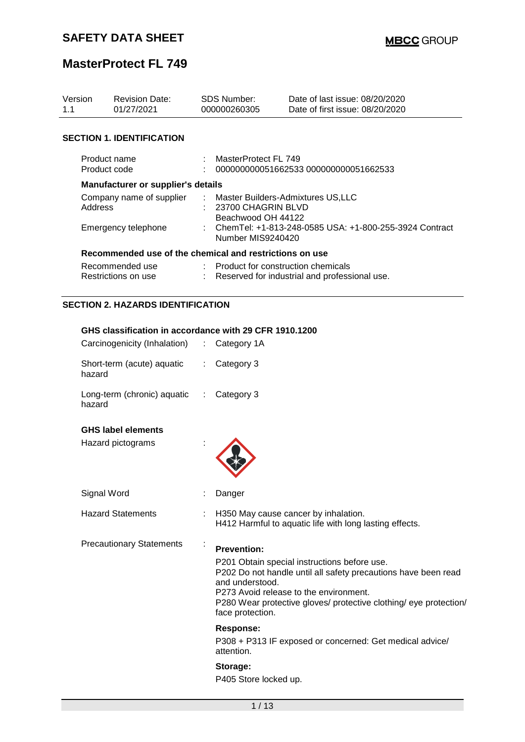# **MasterProtect FL 749**

| Version<br>1.1 | <b>Revision Date:</b><br>01/27/2021                                                               |    | <b>SDS Number:</b><br>000000260305                                                                                                       | Date of last issue: 08/20/2020<br>Date of first issue: 08/20/2020                                                                                                                                                             |  |  |  |  |  |
|----------------|---------------------------------------------------------------------------------------------------|----|------------------------------------------------------------------------------------------------------------------------------------------|-------------------------------------------------------------------------------------------------------------------------------------------------------------------------------------------------------------------------------|--|--|--|--|--|
|                | <b>SECTION 1. IDENTIFICATION</b>                                                                  |    |                                                                                                                                          |                                                                                                                                                                                                                               |  |  |  |  |  |
|                | Product name<br>Product code                                                                      |    | MasterProtect FL 749<br>000000000051662533 000000000051662533                                                                            |                                                                                                                                                                                                                               |  |  |  |  |  |
|                | Manufacturer or supplier's details                                                                |    |                                                                                                                                          |                                                                                                                                                                                                                               |  |  |  |  |  |
|                | Company name of supplier<br>Address<br>Emergency telephone                                        |    | Master Builders-Admixtures US, LLC<br>23700 CHAGRIN BLVD<br>Beachwood OH 44122<br>ChemTel: +1-813-248-0585 USA: +1-800-255-3924 Contract |                                                                                                                                                                                                                               |  |  |  |  |  |
|                |                                                                                                   |    | Number MIS9240420                                                                                                                        |                                                                                                                                                                                                                               |  |  |  |  |  |
|                | Recommended use of the chemical and restrictions on use<br>Recommended use<br>Restrictions on use |    | Product for construction chemicals                                                                                                       | : Reserved for industrial and professional use.                                                                                                                                                                               |  |  |  |  |  |
|                | <b>SECTION 2. HAZARDS IDENTIFICATION</b>                                                          |    |                                                                                                                                          |                                                                                                                                                                                                                               |  |  |  |  |  |
|                | GHS classification in accordance with 29 CFR 1910.1200                                            |    |                                                                                                                                          |                                                                                                                                                                                                                               |  |  |  |  |  |
|                | Carcinogenicity (Inhalation) : Category 1A                                                        |    |                                                                                                                                          |                                                                                                                                                                                                                               |  |  |  |  |  |
|                | Short-term (acute) aquatic<br>hazard                                                              | ÷. | Category 3                                                                                                                               |                                                                                                                                                                                                                               |  |  |  |  |  |
|                | Long-term (chronic) aquatic<br>hazard                                                             | t. | Category 3                                                                                                                               |                                                                                                                                                                                                                               |  |  |  |  |  |
|                | <b>GHS label elements</b>                                                                         |    |                                                                                                                                          |                                                                                                                                                                                                                               |  |  |  |  |  |
|                | Hazard pictograms                                                                                 |    |                                                                                                                                          |                                                                                                                                                                                                                               |  |  |  |  |  |
|                | Signal Word                                                                                       |    | Danger                                                                                                                                   |                                                                                                                                                                                                                               |  |  |  |  |  |
|                | <b>Hazard Statements</b>                                                                          |    |                                                                                                                                          | H350 May cause cancer by inhalation.<br>H412 Harmful to aquatic life with long lasting effects.                                                                                                                               |  |  |  |  |  |
|                | <b>Precautionary Statements</b>                                                                   | ÷  | <b>Prevention:</b><br>and understood.<br>face protection.                                                                                | P201 Obtain special instructions before use.<br>P202 Do not handle until all safety precautions have been read<br>P273 Avoid release to the environment.<br>P280 Wear protective gloves/ protective clothing/ eye protection/ |  |  |  |  |  |
|                |                                                                                                   |    | <b>Response:</b><br>attention.                                                                                                           | P308 + P313 IF exposed or concerned: Get medical advice/                                                                                                                                                                      |  |  |  |  |  |

**Storage:**  P405 Store locked up.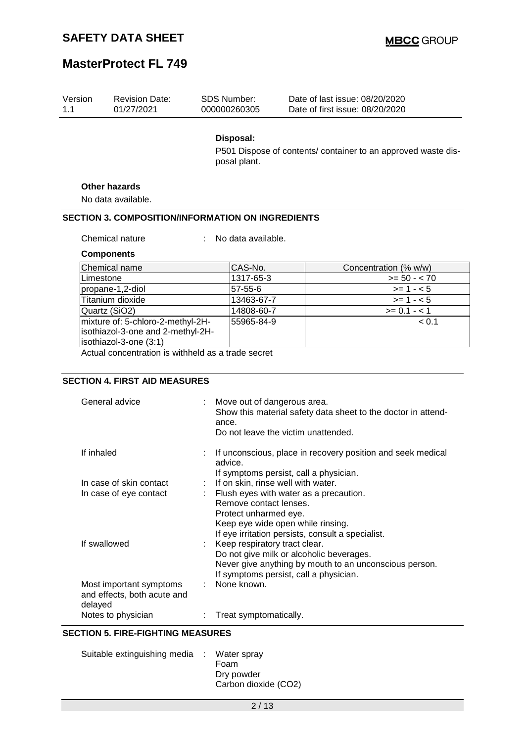| Version<br>1.1 | <b>Revision Date:</b><br>01/27/2021                                                              | SDS Number:<br>000000260305 | Date of last issue: 08/20/2020<br>Date of first issue: 08/20/2020 |
|----------------|--------------------------------------------------------------------------------------------------|-----------------------------|-------------------------------------------------------------------|
|                |                                                                                                  | Disposal:<br>posal plant.   | P501 Dispose of contents/ container to an approved waste dis-     |
|                | <b>Other hazards</b>                                                                             |                             |                                                                   |
|                | No data available.                                                                               |                             |                                                                   |
|                | <b>SECTION 3. COMPOSITION/INFORMATION ON INGREDIENTS</b>                                         |                             |                                                                   |
|                |                                                                                                  |                             |                                                                   |
|                | Chemical nature                                                                                  | No data available.          |                                                                   |
|                | <b>Components</b>                                                                                |                             |                                                                   |
|                | Chemical name                                                                                    | CAS-No.                     | Concentration (% w/w)                                             |
| Limestone      |                                                                                                  | 1317-65-3                   | $>= 50 - < 70$                                                    |
|                | propane-1,2-diol                                                                                 | $57 - 55 - 6$               | $>= 1 - 5$                                                        |
|                | Titanium dioxide                                                                                 | 13463-67-7                  | $>= 1 - 5$                                                        |
|                | Quartz (SiO2)                                                                                    | 14808-60-7                  | $>= 0.1 - 1$                                                      |
|                | mixture of: 5-chloro-2-methyl-2H-<br>isothiazol-3-one and 2-methyl-2H-<br>isothiazol-3-one (3:1) | 55965-84-9                  | < 0.1                                                             |
|                | Actual concentration is withheld as a trade secret                                               |                             |                                                                   |

### **SECTION 4. FIRST AID MEASURES**

| General advice                                                    | Move out of dangerous area.<br>Show this material safety data sheet to the doctor in attend-<br>ance.<br>Do not leave the victim unattended. |
|-------------------------------------------------------------------|----------------------------------------------------------------------------------------------------------------------------------------------|
| If inhaled                                                        | If unconscious, place in recovery position and seek medical<br>advice.                                                                       |
|                                                                   | If symptoms persist, call a physician.                                                                                                       |
| In case of skin contact                                           | If on skin, rinse well with water.                                                                                                           |
| In case of eye contact                                            | $\therefore$ Flush eyes with water as a precaution.                                                                                          |
|                                                                   | Remove contact lenses.                                                                                                                       |
|                                                                   | Protect unharmed eye.                                                                                                                        |
|                                                                   | Keep eye wide open while rinsing.                                                                                                            |
|                                                                   | If eye irritation persists, consult a specialist.                                                                                            |
| If swallowed                                                      | : Keep respiratory tract clear.                                                                                                              |
|                                                                   | Do not give milk or alcoholic beverages.                                                                                                     |
|                                                                   |                                                                                                                                              |
|                                                                   | Never give anything by mouth to an unconscious person.                                                                                       |
|                                                                   | If symptoms persist, call a physician.                                                                                                       |
| Most important symptoms<br>and effects, both acute and<br>delayed | : None known.                                                                                                                                |
| Notes to physician                                                | Treat symptomatically.                                                                                                                       |
|                                                                   |                                                                                                                                              |

### **SECTION 5. FIRE-FIGHTING MEASURES**

| Suitable extinguishing media : Water spray |                      |
|--------------------------------------------|----------------------|
|                                            | Foam                 |
|                                            | Dry powder           |
|                                            | Carbon dioxide (CO2) |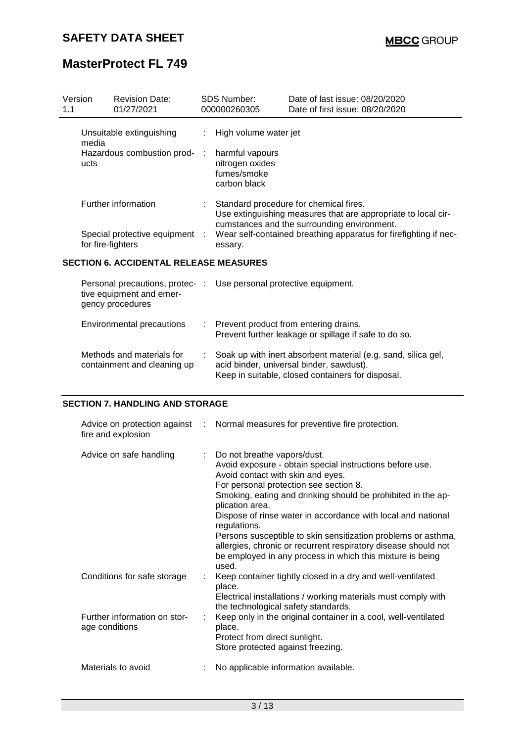| Version<br>1.1 |                                    | <b>Revision Date:</b><br>01/27/2021 | <b>SDS Number:</b><br>000000260305                                | Date of last issue: 08/20/2020<br>Date of first issue: 08/20/2020                                                                                      |
|----------------|------------------------------------|-------------------------------------|-------------------------------------------------------------------|--------------------------------------------------------------------------------------------------------------------------------------------------------|
|                | media                              | Unsuitable extinguishing            | High volume water jet                                             |                                                                                                                                                        |
|                | Hazardous combustion prod-<br>ucts |                                     | harmful vapours<br>nitrogen oxides<br>fumes/smoke<br>carbon black |                                                                                                                                                        |
|                |                                    | Further information                 |                                                                   | Standard procedure for chemical fires.<br>Use extinguishing measures that are appropriate to local cir-<br>cumstances and the surrounding environment. |
|                | for fire-fighters                  | Special protective equipment :      | essary.                                                           | Wear self-contained breathing apparatus for firefighting if nec-                                                                                       |

### **SECTION 6. ACCIDENTAL RELEASE MEASURES**

| tive equipment and emer-<br>gency procedures             | Personal precautions, protec- : Use personal protective equipment.                                                                                             |
|----------------------------------------------------------|----------------------------------------------------------------------------------------------------------------------------------------------------------------|
| Environmental precautions                                | : Prevent product from entering drains.<br>Prevent further leakage or spillage if safe to do so.                                                               |
| Methods and materials for<br>containment and cleaning up | Soak up with inert absorbent material (e.g. sand, silica gel,<br>acid binder, universal binder, sawdust).<br>Keep in suitable, closed containers for disposal. |

#### **SECTION 7. HANDLING AND STORAGE**

| fire and explosion                             |    | Advice on protection against : Normal measures for preventive fire protection.                                                                                                                                                                                                                                                                                                                                                                                                                                                                     |
|------------------------------------------------|----|----------------------------------------------------------------------------------------------------------------------------------------------------------------------------------------------------------------------------------------------------------------------------------------------------------------------------------------------------------------------------------------------------------------------------------------------------------------------------------------------------------------------------------------------------|
| Advice on safe handling                        | t. | Do not breathe vapors/dust.<br>Avoid exposure - obtain special instructions before use.<br>Avoid contact with skin and eyes.<br>For personal protection see section 8.<br>Smoking, eating and drinking should be prohibited in the ap-<br>plication area.<br>Dispose of rinse water in accordance with local and national<br>regulations.<br>Persons susceptible to skin sensitization problems or asthma,<br>allergies, chronic or recurrent respiratory disease should not<br>be employed in any process in which this mixture is being<br>used. |
| Conditions for safe storage                    |    | Keep container tightly closed in a dry and well-ventilated<br>place.<br>Electrical installations / working materials must comply with<br>the technological safety standards.                                                                                                                                                                                                                                                                                                                                                                       |
| Further information on stor-<br>age conditions |    | Keep only in the original container in a cool, well-ventilated<br>place.<br>Protect from direct sunlight.<br>Store protected against freezing.                                                                                                                                                                                                                                                                                                                                                                                                     |
| Materials to avoid                             |    | No applicable information available.                                                                                                                                                                                                                                                                                                                                                                                                                                                                                                               |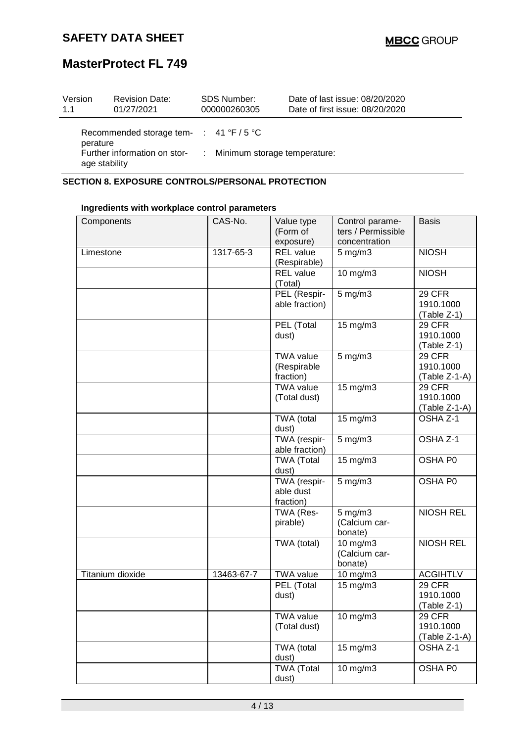# **MasterProtect FL 749**

| Version<br>1.1 | <b>Revision Date:</b><br>01/27/2021          | <b>SDS Number:</b><br>000000260305 | Date of last issue: 08/20/2020<br>Date of first issue: 08/20/2020 |
|----------------|----------------------------------------------|------------------------------------|-------------------------------------------------------------------|
| perature       | Recommended storage tem- $\div$ 41 °F / 5 °C |                                    |                                                                   |
| age stability  | Further information on stor-                 | : Minimum storage temperature:     |                                                                   |

### **SECTION 8. EXPOSURE CONTROLS/PERSONAL PROTECTION**

### **Ingredients with workplace control parameters**

| Components       | CAS-No.    | Value type<br>(Form of<br>exposure)          | Control parame-<br>ters / Permissible<br>concentration | <b>Basis</b>                                |
|------------------|------------|----------------------------------------------|--------------------------------------------------------|---------------------------------------------|
| Limestone        | 1317-65-3  | <b>REL</b> value<br>(Respirable)             | $5$ mg/m $3$                                           | <b>NIOSH</b>                                |
|                  |            | <b>REL</b> value<br>(Total)                  | 10 mg/m3                                               | <b>NIOSH</b>                                |
|                  |            | PEL (Respir-<br>able fraction)               | $5$ mg/m $3$                                           | <b>29 CFR</b><br>1910.1000<br>(Table Z-1)   |
|                  |            | PEL (Total<br>dust)                          | 15 mg/m3                                               | <b>29 CFR</b><br>1910.1000<br>(Table Z-1)   |
|                  |            | <b>TWA value</b><br>(Respirable<br>fraction) | 5 mg/m3                                                | 29 CFR<br>1910.1000<br>(Table Z-1-A)        |
|                  |            | <b>TWA value</b><br>(Total dust)             | 15 mg/m3                                               | 29 CFR<br>1910.1000<br>(Table Z-1-A)        |
|                  |            | TWA (total<br>dust)                          | 15 mg/m3                                               | OSHA Z-1                                    |
|                  |            | TWA (respir-<br>able fraction)               | $5$ mg/m $3$                                           | OSHA Z-1                                    |
|                  |            | <b>TWA (Total</b><br>dust)                   | $15$ mg/m $3$                                          | OSHA P0                                     |
|                  |            | TWA (respir-<br>able dust<br>fraction)       | $5$ mg/m $3$                                           | OSHA P0                                     |
|                  |            | TWA (Res-<br>pirable)                        | 5 mg/m3<br>(Calcium car-<br>bonate)                    | <b>NIOSH REL</b>                            |
|                  |            | TWA (total)                                  | 10 mg/m3<br>(Calcium car-<br>bonate)                   | <b>NIOSH REL</b>                            |
| Titanium dioxide | 13463-67-7 | <b>TWA value</b>                             | 10 $mg/m3$                                             | <b>ACGIHTLV</b>                             |
|                  |            | PEL (Total<br>dust)                          | 15 mg/m3                                               | 29 CFR<br>1910.1000<br>(Table Z-1)          |
|                  |            | <b>TWA value</b><br>(Total dust)             | 10 mg/m3                                               | <b>29 CFR</b><br>1910.1000<br>(Table Z-1-A) |
|                  |            | TWA (total<br>dust)                          | 15 mg/m3                                               | OSHA <sub>Z-1</sub>                         |
|                  |            | <b>TWA</b> (Total<br>dust)                   | 10 mg/m3                                               | OSHA P0                                     |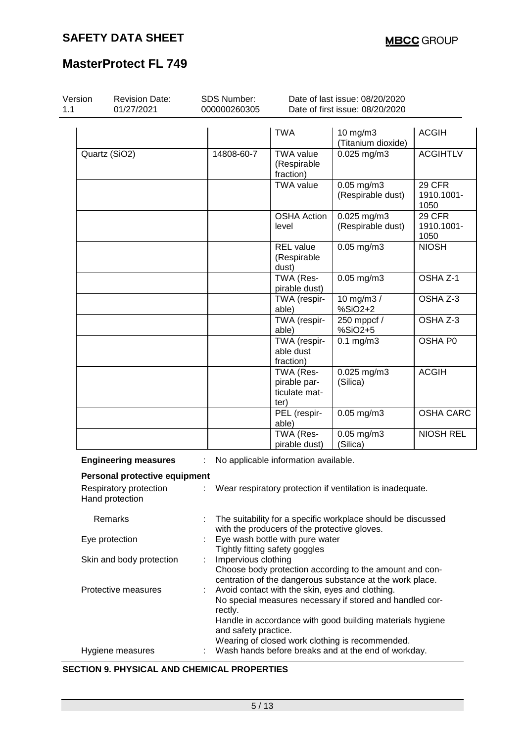# **MasterProtect FL 749**

| Version | <b>Revision Date:</b><br>01/27/2021       | SDS Number:<br>000000260305                                                                                                                |                                                                   | Date of last issue: 08/20/2020<br>Date of first issue: 08/20/2020                                                                                                        |                              |  |  |
|---------|-------------------------------------------|--------------------------------------------------------------------------------------------------------------------------------------------|-------------------------------------------------------------------|--------------------------------------------------------------------------------------------------------------------------------------------------------------------------|------------------------------|--|--|
|         |                                           |                                                                                                                                            | <b>TWA</b>                                                        | 10 mg/m3<br>(Titanium dioxide)                                                                                                                                           | <b>ACGIH</b>                 |  |  |
|         | Quartz (SiO2)                             | 14808-60-7                                                                                                                                 | <b>TWA value</b><br>(Respirable<br>fraction)                      | $0.025$ mg/m3                                                                                                                                                            | <b>ACGIHTLV</b>              |  |  |
|         |                                           |                                                                                                                                            | <b>TWA value</b>                                                  | $0.05$ mg/m $3$<br>(Respirable dust)                                                                                                                                     | 29 CFR<br>1910.1001-<br>1050 |  |  |
|         |                                           |                                                                                                                                            | <b>OSHA Action</b><br>level                                       | $0.025$ mg/m3<br>(Respirable dust)                                                                                                                                       | 29 CFR<br>1910.1001-<br>1050 |  |  |
|         |                                           |                                                                                                                                            | <b>REL</b> value<br>(Respirable<br>dust)                          | $0.05$ mg/m $3$                                                                                                                                                          | <b>NIOSH</b>                 |  |  |
|         |                                           |                                                                                                                                            | TWA (Res-<br>pirable dust)                                        | $0.05$ mg/m $3$                                                                                                                                                          | OSHA <sub>Z-1</sub>          |  |  |
|         |                                           |                                                                                                                                            | TWA (respir-<br>able)                                             | $\overline{10}$ mg/m3 /<br>%SiO2+2                                                                                                                                       | OSHA Z-3                     |  |  |
|         |                                           |                                                                                                                                            | TWA (respir-<br>able)                                             | 250 mppcf /<br>%SiO2+5                                                                                                                                                   | OSHA Z-3                     |  |  |
|         |                                           |                                                                                                                                            | TWA (respir-<br>able dust<br>fraction)                            | $0.1$ mg/m $3$                                                                                                                                                           | OSHA P0                      |  |  |
|         |                                           |                                                                                                                                            | TWA (Res-<br>pirable par-<br>ticulate mat-<br>ter)                | $0.025$ mg/m3<br>(Silica)                                                                                                                                                | <b>ACGIH</b>                 |  |  |
|         |                                           |                                                                                                                                            | PEL (respir-<br>able)                                             | $0.05$ mg/m $3$                                                                                                                                                          | <b>OSHA CARC</b>             |  |  |
|         |                                           |                                                                                                                                            | TWA (Res-<br>pirable dust)                                        | $0.05$ mg/m3<br>(Silica)                                                                                                                                                 | <b>NIOSH REL</b>             |  |  |
|         | <b>Engineering measures</b>               |                                                                                                                                            | No applicable information available.                              |                                                                                                                                                                          |                              |  |  |
|         | Personal protective equipment             |                                                                                                                                            |                                                                   |                                                                                                                                                                          |                              |  |  |
|         | Respiratory protection<br>Hand protection |                                                                                                                                            | Wear respiratory protection if ventilation is inadequate.         |                                                                                                                                                                          |                              |  |  |
|         | Remarks                                   |                                                                                                                                            | with the producers of the protective gloves.                      | The suitability for a specific workplace should be discussed                                                                                                             |                              |  |  |
|         | Eye protection                            |                                                                                                                                            | Eye wash bottle with pure water<br>Tightly fitting safety goggles |                                                                                                                                                                          |                              |  |  |
|         | Skin and body protection                  | Impervious clothing<br>Choose body protection according to the amount and con-<br>centration of the dangerous substance at the work place. |                                                                   |                                                                                                                                                                          |                              |  |  |
|         | Protective measures                       | rectly.<br>and safety practice.                                                                                                            |                                                                   | Avoid contact with the skin, eyes and clothing.<br>No special measures necessary if stored and handled cor-<br>Handle in accordance with good building materials hygiene |                              |  |  |
|         | Hygiene measures                          |                                                                                                                                            |                                                                   | Wearing of closed work clothing is recommended.<br>Wash hands before breaks and at the end of workday.                                                                   |                              |  |  |

### **SECTION 9. PHYSICAL AND CHEMICAL PROPERTIES**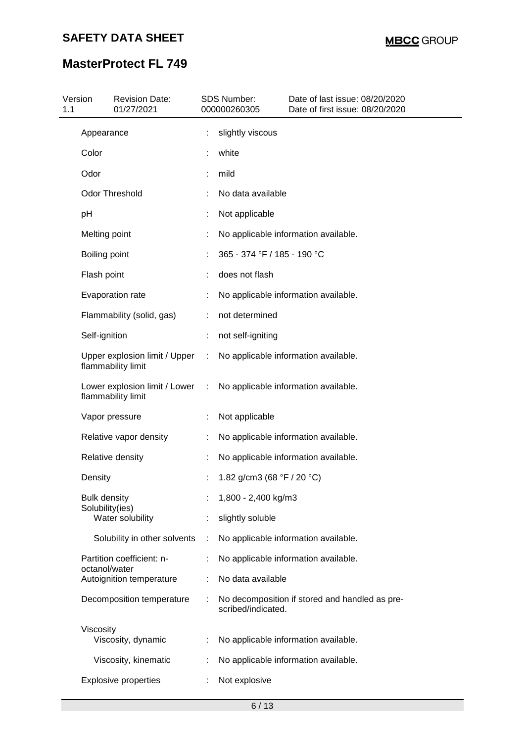| Version<br>1.1 |                                        | <b>Revision Date:</b><br>01/27/2021 |   | SDS Number:<br>000000260305 | Date of last issue: 08/20/2020<br>Date of first issue: 08/20/2020 |
|----------------|----------------------------------------|-------------------------------------|---|-----------------------------|-------------------------------------------------------------------|
|                | Appearance                             |                                     |   | slightly viscous            |                                                                   |
|                | Color                                  |                                     |   | white                       |                                                                   |
|                | Odor                                   |                                     |   | mild                        |                                                                   |
|                | <b>Odor Threshold</b>                  |                                     |   | No data available           |                                                                   |
|                | pH                                     |                                     |   | Not applicable              |                                                                   |
|                | Melting point                          |                                     |   |                             | No applicable information available.                              |
|                | Boiling point                          |                                     |   | 365 - 374 °F / 185 - 190 °C |                                                                   |
|                | Flash point                            |                                     |   | does not flash              |                                                                   |
|                | Evaporation rate                       |                                     |   |                             | No applicable information available.                              |
|                |                                        | Flammability (solid, gas)           |   | not determined              |                                                                   |
|                | Self-ignition                          |                                     |   | not self-igniting           |                                                                   |
|                | flammability limit                     | Upper explosion limit / Upper       | ÷ |                             | No applicable information available.                              |
|                | flammability limit                     | Lower explosion limit / Lower       |   |                             | No applicable information available.                              |
|                | Vapor pressure                         |                                     |   | Not applicable              |                                                                   |
|                |                                        | Relative vapor density              |   |                             | No applicable information available.                              |
|                | Relative density                       |                                     |   |                             | No applicable information available.                              |
|                | Density                                |                                     |   | 1.82 g/cm3 (68 °F / 20 °C)  |                                                                   |
|                | <b>Bulk density</b><br>Solubility(ies) |                                     |   | 1,800 - 2,400 kg/m3         |                                                                   |
|                |                                        | Water solubility                    |   | slightly soluble            |                                                                   |
|                |                                        | Solubility in other solvents        |   |                             | No applicable information available.                              |
|                | octanol/water                          | Partition coefficient: n-           |   |                             | No applicable information available.                              |
|                |                                        | Autoignition temperature            |   | No data available           |                                                                   |
|                |                                        | Decomposition temperature           |   | scribed/indicated.          | No decomposition if stored and handled as pre-                    |
|                | Viscosity                              | Viscosity, dynamic                  |   |                             | No applicable information available.                              |
|                |                                        | Viscosity, kinematic                |   |                             | No applicable information available.                              |
|                |                                        | <b>Explosive properties</b>         |   | Not explosive               |                                                                   |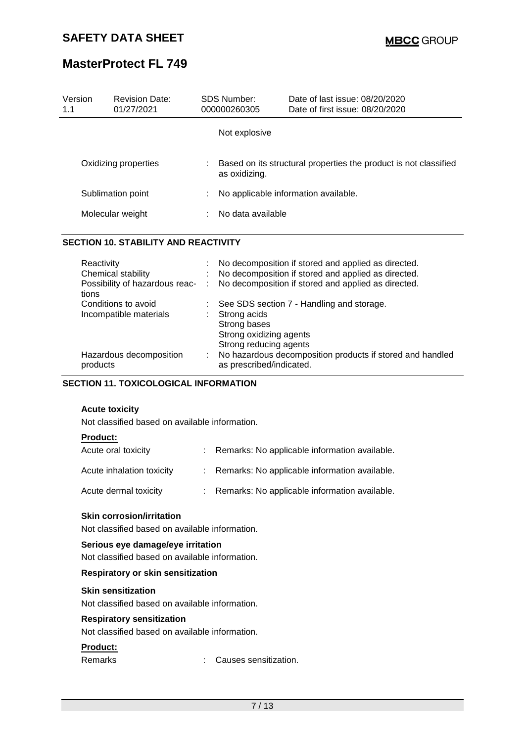# **MasterProtect FL 749**

| Version<br>1.1 | <b>Revision Date:</b><br>01/27/2021         |  | <b>SDS Number:</b><br>000000260305   | Date of last issue: 08/20/2020<br>Date of first issue: 08/20/2020 |  |
|----------------|---------------------------------------------|--|--------------------------------------|-------------------------------------------------------------------|--|
|                |                                             |  | Not explosive                        |                                                                   |  |
|                | Oxidizing properties                        |  | as oxidizing.                        | Based on its structural properties the product is not classified  |  |
|                | Sublimation point                           |  | No applicable information available. |                                                                   |  |
|                | Molecular weight                            |  | No data available                    |                                                                   |  |
|                | <b>SECTION 10. STABILITY AND REACTIVITY</b> |  |                                      |                                                                   |  |
| Reactivity     |                                             |  |                                      | No decomposition if stored and applied as directed.               |  |

| Chemical stability                        |    | No decomposition if stored and applied as directed.                                   |
|-------------------------------------------|----|---------------------------------------------------------------------------------------|
| Possibility of hazardous reac- :<br>tions |    | No decomposition if stored and applied as directed.                                   |
| Conditions to avoid                       |    | See SDS section 7 - Handling and storage.                                             |
| Incompatible materials                    |    | Strong acids                                                                          |
|                                           |    | Strong bases                                                                          |
|                                           |    | Strong oxidizing agents                                                               |
|                                           |    | Strong reducing agents                                                                |
| Hazardous decomposition<br>products       | ÷. | No hazardous decomposition products if stored and handled<br>as prescribed/indicated. |
|                                           |    |                                                                                       |

#### **SECTION 11. TOXICOLOGICAL INFORMATION**

#### **Acute toxicity**

Not classified based on available information.

### **Product:**

| Acute oral toxicity       | : Remarks: No applicable information available. |
|---------------------------|-------------------------------------------------|
| Acute inhalation toxicity | : Remarks: No applicable information available. |
| Acute dermal toxicity     | : Remarks: No applicable information available. |

### **Skin corrosion/irritation**

Not classified based on available information.

#### **Serious eye damage/eye irritation**

Not classified based on available information.

#### **Respiratory or skin sensitization**

#### **Skin sensitization**

Not classified based on available information.

#### **Respiratory sensitization**

Not classified based on available information.

### **Product:**

Remarks : Causes sensitization.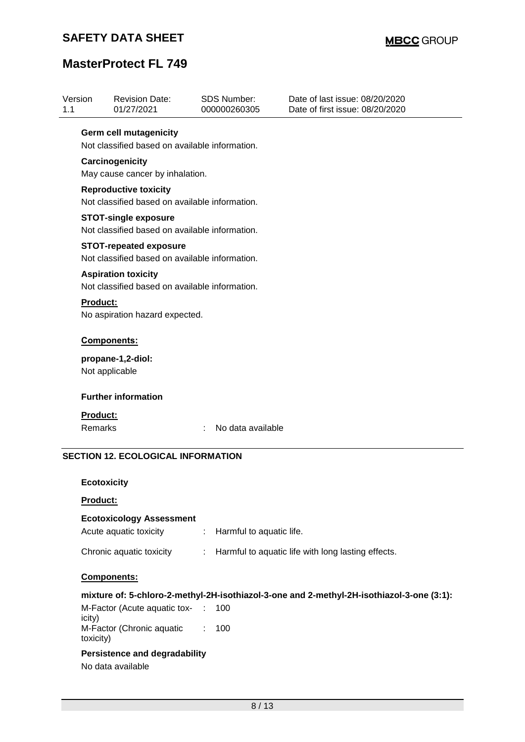# **MasterProtect FL 749**

| 1.1                                                                             | Version                                                                        | <b>Revision Date:</b><br>01/27/2021                                           |   | <b>SDS Number:</b><br>000000260305 | Date of last issue: 08/20/2020<br>Date of first issue: 08/20/2020                         |  |  |
|---------------------------------------------------------------------------------|--------------------------------------------------------------------------------|-------------------------------------------------------------------------------|---|------------------------------------|-------------------------------------------------------------------------------------------|--|--|
| <b>Germ cell mutagenicity</b><br>Not classified based on available information. |                                                                                |                                                                               |   |                                    |                                                                                           |  |  |
|                                                                                 |                                                                                |                                                                               |   |                                    |                                                                                           |  |  |
| May cause cancer by inhalation.                                                 |                                                                                |                                                                               |   |                                    |                                                                                           |  |  |
|                                                                                 | <b>Reproductive toxicity</b><br>Not classified based on available information. |                                                                               |   |                                    |                                                                                           |  |  |
|                                                                                 |                                                                                | <b>STOT-single exposure</b><br>Not classified based on available information. |   |                                    |                                                                                           |  |  |
|                                                                                 |                                                                                | <b>STOT-repeated exposure</b>                                                 |   |                                    |                                                                                           |  |  |
|                                                                                 |                                                                                | Not classified based on available information.                                |   |                                    |                                                                                           |  |  |
|                                                                                 |                                                                                | <b>Aspiration toxicity</b><br>Not classified based on available information.  |   |                                    |                                                                                           |  |  |
|                                                                                 |                                                                                |                                                                               |   |                                    |                                                                                           |  |  |
|                                                                                 | Components:                                                                    |                                                                               |   |                                    |                                                                                           |  |  |
| propane-1,2-diol:<br>Not applicable                                             |                                                                                |                                                                               |   |                                    |                                                                                           |  |  |
|                                                                                 |                                                                                | <b>Further information</b>                                                    |   |                                    |                                                                                           |  |  |
|                                                                                 | <b>Product:</b>                                                                |                                                                               |   |                                    |                                                                                           |  |  |
|                                                                                 | <b>Remarks</b>                                                                 |                                                                               |   | No data available                  |                                                                                           |  |  |
|                                                                                 |                                                                                | <b>SECTION 12. ECOLOGICAL INFORMATION</b>                                     |   |                                    |                                                                                           |  |  |
| <b>Ecotoxicity</b>                                                              |                                                                                |                                                                               |   |                                    |                                                                                           |  |  |
| Product:                                                                        |                                                                                |                                                                               |   |                                    |                                                                                           |  |  |
|                                                                                 |                                                                                | <b>Ecotoxicology Assessment</b>                                               |   |                                    |                                                                                           |  |  |
|                                                                                 |                                                                                | Acute aquatic toxicity                                                        | ÷ | Harmful to aquatic life.           |                                                                                           |  |  |
|                                                                                 |                                                                                | Chronic aquatic toxicity                                                      | ÷ |                                    | Harmful to aquatic life with long lasting effects.                                        |  |  |
|                                                                                 |                                                                                | Components:                                                                   |   |                                    |                                                                                           |  |  |
|                                                                                 |                                                                                |                                                                               |   |                                    | mixture of: 5-chloro-2-methyl-2H-isothiazol-3-one and 2-methyl-2H-isothiazol-3-one (3:1): |  |  |

M-Factor (Acute aquatic tox-: 100 icity) M-Factor (Chronic aquatic : 100 toxicity)

### **Persistence and degradability**

No data available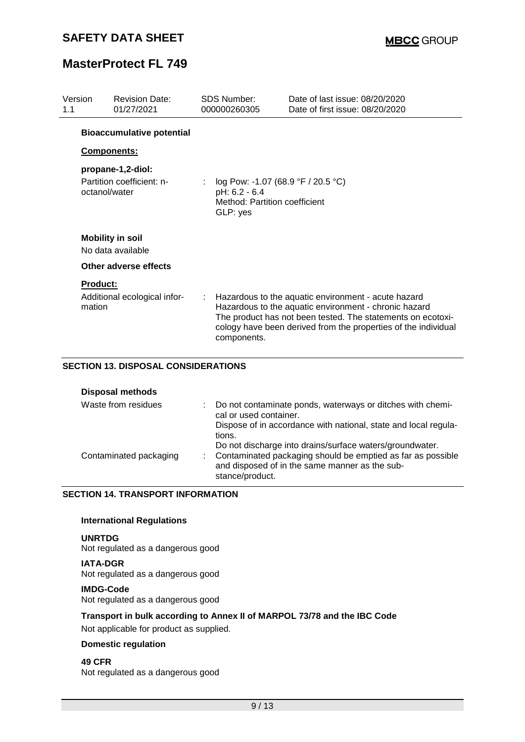| Version<br>1.1 | <b>Revision Date:</b><br>01/27/2021                             | <b>SDS Number:</b><br>000000260305                                                               | Date of last issue: 08/20/2020<br>Date of first issue: 08/20/2020                                                                                                                                                                             |  |
|----------------|-----------------------------------------------------------------|--------------------------------------------------------------------------------------------------|-----------------------------------------------------------------------------------------------------------------------------------------------------------------------------------------------------------------------------------------------|--|
|                | <b>Bioaccumulative potential</b>                                |                                                                                                  |                                                                                                                                                                                                                                               |  |
|                | <b>Components:</b>                                              |                                                                                                  |                                                                                                                                                                                                                                               |  |
|                | propane-1,2-diol:<br>Partition coefficient: n-<br>octanol/water | log Pow: -1.07 (68.9 °F / 20.5 °C)<br>pH: 6.2 - 6.4<br>Method: Partition coefficient<br>GLP: yes |                                                                                                                                                                                                                                               |  |
|                | <b>Mobility in soil</b><br>No data available                    |                                                                                                  |                                                                                                                                                                                                                                               |  |
|                | Other adverse effects                                           |                                                                                                  |                                                                                                                                                                                                                                               |  |
| mation         | <b>Product:</b><br>Additional ecological infor-                 | components.                                                                                      | Hazardous to the aquatic environment - acute hazard<br>Hazardous to the aquatic environment - chronic hazard<br>The product has not been tested. The statements on ecotoxi-<br>cology have been derived from the properties of the individual |  |
|                | SECTION 13 DISPOSAL CONSIDERATIONS                              |                                                                                                  |                                                                                                                                                                                                                                               |  |

#### **SECTION 13. DISPOSAL CONSIDERATIONS**

**Disposal methods**

| Waste from residues    | Do not contaminate ponds, waterways or ditches with chemi-<br>cal or used container.<br>Dispose of in accordance with national, state and local regula-                                                |
|------------------------|--------------------------------------------------------------------------------------------------------------------------------------------------------------------------------------------------------|
| Contaminated packaging | tions.<br>Do not discharge into drains/surface waters/groundwater.<br>Contaminated packaging should be emptied as far as possible<br>and disposed of in the same manner as the sub-<br>stance/product. |

#### **SECTION 14. TRANSPORT INFORMATION**

#### **International Regulations**

#### **UNRTDG**

Not regulated as a dangerous good

**IATA-DGR** Not regulated as a dangerous good

#### **IMDG-Code**

Not regulated as a dangerous good

## **Transport in bulk according to Annex II of MARPOL 73/78 and the IBC Code**

Not applicable for product as supplied.

### **Domestic regulation**

#### **49 CFR** Not regulated as a dangerous good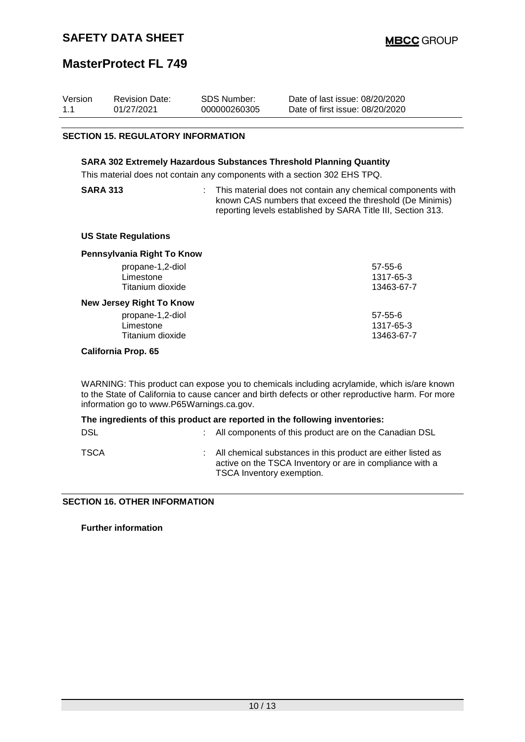## **MasterProtect FL 749**

| Version<br>1.1                                                                                                                                          | <b>Revision Date:</b><br>01/27/2021 | <b>SDS Number:</b><br>000000260305 | Date of last issue: 08/20/2020<br>Date of first issue: 08/20/2020 |  |  |  |  |  |
|---------------------------------------------------------------------------------------------------------------------------------------------------------|-------------------------------------|------------------------------------|-------------------------------------------------------------------|--|--|--|--|--|
| <b>SECTION 15. REGULATORY INFORMATION</b>                                                                                                               |                                     |                                    |                                                                   |  |  |  |  |  |
| <b>SARA 302 Extremely Hazardous Substances Threshold Planning Quantity</b><br>This material does not contain any components with a section 302 EHS TPQ. |                                     |                                    |                                                                   |  |  |  |  |  |

| <b>SARA 313</b> |  |  |
|-----------------|--|--|
|-----------------|--|--|

: This material does not contain any chemical components with known CAS numbers that exceed the threshold (De Minimis) reporting levels established by SARA Title III, Section 313.

#### **US State Regulations**

| Pennsylvania Right To Know      |               |
|---------------------------------|---------------|
| propane-1,2-diol                | $57 - 55 - 6$ |
| Limestone                       | 1317-65-3     |
| Titanium dioxide                | 13463-67-7    |
| <b>New Jersey Right To Know</b> |               |
| propane-1,2-diol                | $57 - 55 - 6$ |
| Limestone                       | 1317-65-3     |
| Titanium dioxide                | 13463-67-7    |
| California Dran, CE             |               |

#### **California Prop. 65**

WARNING: This product can expose you to chemicals including acrylamide, which is/are known to the State of California to cause cancer and birth defects or other reproductive harm. For more information go to www.P65Warnings.ca.gov.

| The ingredients of this product are reported in the following inventories: |                                                          |                                                                                                                                                         |  |  |
|----------------------------------------------------------------------------|----------------------------------------------------------|---------------------------------------------------------------------------------------------------------------------------------------------------------|--|--|
| DSL                                                                        | : All components of this product are on the Canadian DSL |                                                                                                                                                         |  |  |
| TSCA                                                                       |                                                          | : All chemical substances in this product are either listed as<br>active on the TSCA Inventory or are in compliance with a<br>TSCA Inventory exemption. |  |  |

#### **SECTION 16. OTHER INFORMATION**

**Further information**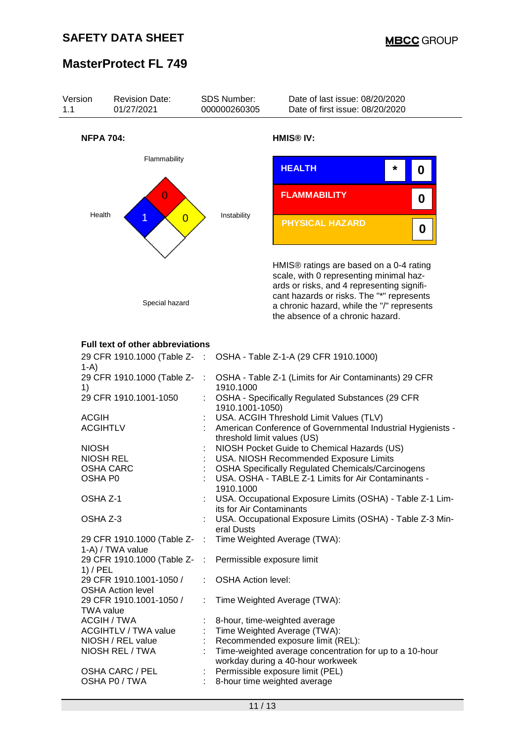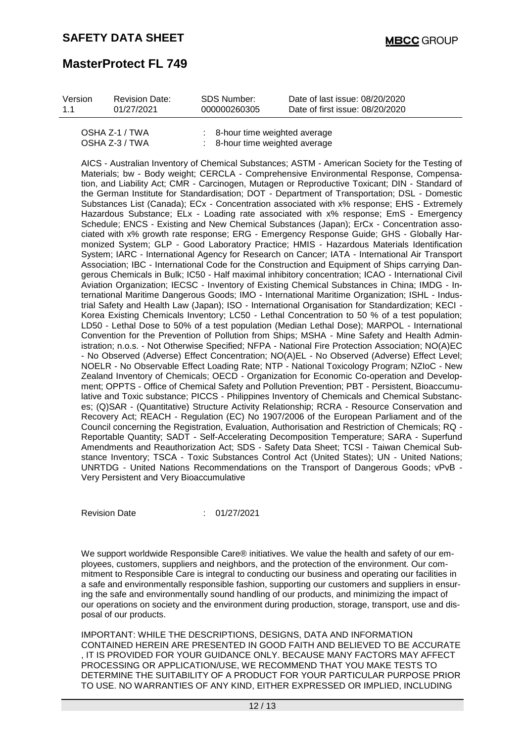| Version | <b>Revision Date:</b> | SDS Number:  | Date of last issue: 08/20/2020  |
|---------|-----------------------|--------------|---------------------------------|
| 11      | 01/27/2021            | 000000260305 | Date of first issue: 08/20/2020 |
|         |                       |              |                                 |

| OSHA Z-1 / TWA | $\therefore$ 8-hour time weighted average |
|----------------|-------------------------------------------|
| OSHA Z-3 / TWA | $\therefore$ 8-hour time weighted average |
|                |                                           |

AICS - Australian Inventory of Chemical Substances; ASTM - American Society for the Testing of Materials; bw - Body weight; CERCLA - Comprehensive Environmental Response, Compensation, and Liability Act; CMR - Carcinogen, Mutagen or Reproductive Toxicant; DIN - Standard of the German Institute for Standardisation; DOT - Department of Transportation; DSL - Domestic Substances List (Canada); ECx - Concentration associated with x% response; EHS - Extremely Hazardous Substance; ELx - Loading rate associated with x% response; EmS - Emergency Schedule; ENCS - Existing and New Chemical Substances (Japan); ErCx - Concentration associated with x% growth rate response; ERG - Emergency Response Guide; GHS - Globally Harmonized System; GLP - Good Laboratory Practice; HMIS - Hazardous Materials Identification System; IARC - International Agency for Research on Cancer; IATA - International Air Transport Association; IBC - International Code for the Construction and Equipment of Ships carrying Dangerous Chemicals in Bulk; IC50 - Half maximal inhibitory concentration; ICAO - International Civil Aviation Organization; IECSC - Inventory of Existing Chemical Substances in China; IMDG - International Maritime Dangerous Goods; IMO - International Maritime Organization; ISHL - Industrial Safety and Health Law (Japan); ISO - International Organisation for Standardization; KECI - Korea Existing Chemicals Inventory; LC50 - Lethal Concentration to 50 % of a test population; LD50 - Lethal Dose to 50% of a test population (Median Lethal Dose); MARPOL - International Convention for the Prevention of Pollution from Ships; MSHA - Mine Safety and Health Administration; n.o.s. - Not Otherwise Specified; NFPA - National Fire Protection Association; NO(A)EC - No Observed (Adverse) Effect Concentration; NO(A)EL - No Observed (Adverse) Effect Level; NOELR - No Observable Effect Loading Rate; NTP - National Toxicology Program; NZIoC - New Zealand Inventory of Chemicals; OECD - Organization for Economic Co-operation and Development; OPPTS - Office of Chemical Safety and Pollution Prevention; PBT - Persistent, Bioaccumulative and Toxic substance; PICCS - Philippines Inventory of Chemicals and Chemical Substances; (Q)SAR - (Quantitative) Structure Activity Relationship; RCRA - Resource Conservation and Recovery Act; REACH - Regulation (EC) No 1907/2006 of the European Parliament and of the Council concerning the Registration, Evaluation, Authorisation and Restriction of Chemicals; RQ - Reportable Quantity; SADT - Self-Accelerating Decomposition Temperature; SARA - Superfund Amendments and Reauthorization Act; SDS - Safety Data Sheet; TCSI - Taiwan Chemical Substance Inventory; TSCA - Toxic Substances Control Act (United States); UN - United Nations; UNRTDG - United Nations Recommendations on the Transport of Dangerous Goods; vPvB - Very Persistent and Very Bioaccumulative

Revision Date : 01/27/2021

We support worldwide Responsible Care® initiatives. We value the health and safety of our employees, customers, suppliers and neighbors, and the protection of the environment. Our commitment to Responsible Care is integral to conducting our business and operating our facilities in a safe and environmentally responsible fashion, supporting our customers and suppliers in ensuring the safe and environmentally sound handling of our products, and minimizing the impact of our operations on society and the environment during production, storage, transport, use and disposal of our products.

IMPORTANT: WHILE THE DESCRIPTIONS, DESIGNS, DATA AND INFORMATION CONTAINED HEREIN ARE PRESENTED IN GOOD FAITH AND BELIEVED TO BE ACCURATE , IT IS PROVIDED FOR YOUR GUIDANCE ONLY. BECAUSE MANY FACTORS MAY AFFECT PROCESSING OR APPLICATION/USE, WE RECOMMEND THAT YOU MAKE TESTS TO DETERMINE THE SUITABILITY OF A PRODUCT FOR YOUR PARTICULAR PURPOSE PRIOR TO USE. NO WARRANTIES OF ANY KIND, EITHER EXPRESSED OR IMPLIED, INCLUDING